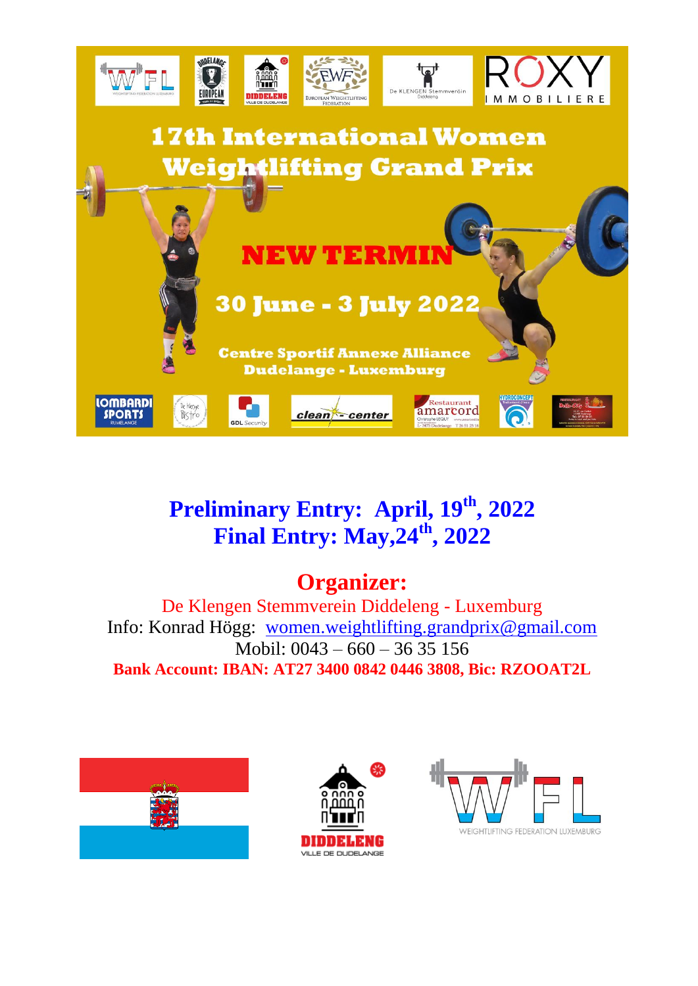

## **Preliminary Entry: April, 19th, 2022 Final Entry: May,24th , 2022**

## **Organizer:**

De Klengen Stemmverein Diddeleng - Luxemburg Info: Konrad Högg: [women.weightlifting.grandprix@gmail.com](mailto:women.weightlifting.grandprix@gmail.com) Mobil: 0043 – 660 – 36 35 156 **Bank Account: IBAN: AT27 3400 0842 0446 3808, Bic: RZOOAT2L**





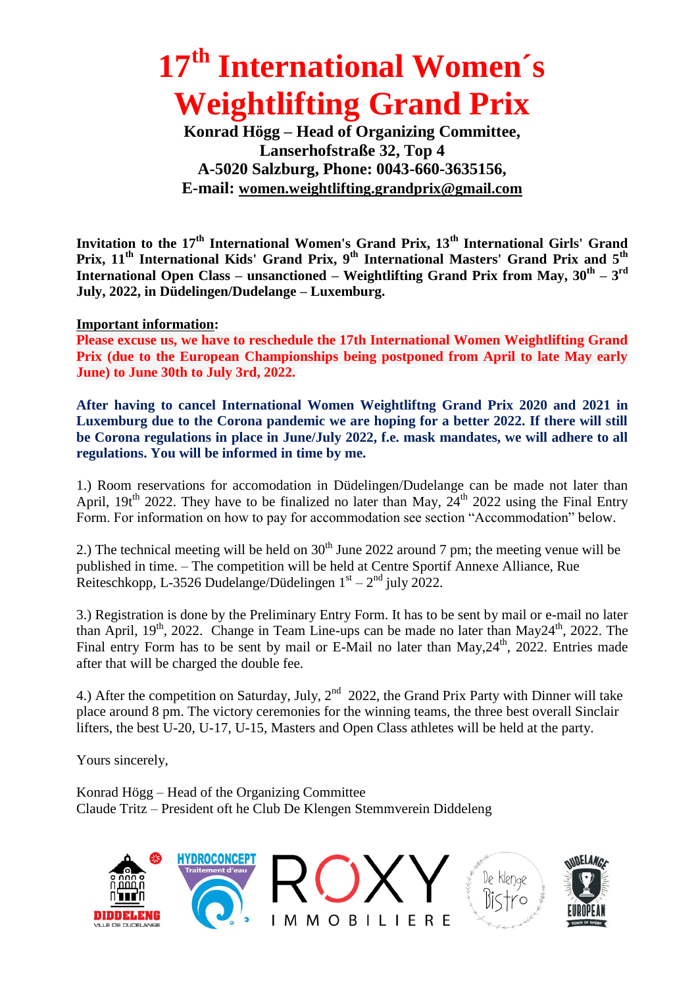# **17 th International Women´s Weightlifting Grand Prix**

**Konrad Högg – Head of Organizing Committee, Lanserhofstraße 32, Top 4 A-5020 Salzburg, Phone: 0043-660-3635156, E-mail: [women.weightlifting.grandprix@gmail.com](mailto:Eleiko-News@gmx.net)**

**Invitation to the 17th International Women's Grand Prix, 13th International Girls' Grand Prix, 11th International Kids' Grand Prix, 9th International Masters' Grand Prix and 5th International Open Class – unsanctioned – Weightlifting Grand Prix from May, 30th – 3 rd July, 2022, in Düdelingen/Dudelange – Luxemburg.**

#### **Important information:**

**Please excuse us, we have to reschedule the 17th International Women Weightlifting Grand Prix (due to the European Championships being postponed from April to late May early June) to June 30th to July 3rd, 2022.**

**After having to cancel International Women Weightliftng Grand Prix 2020 and 2021 in Luxemburg due to the Corona pandemic we are hoping for a better 2022. If there will still be Corona regulations in place in June/July 2022, f.e. mask mandates, we will adhere to all regulations. You will be informed in time by me.**

1.) Room reservations for accomodation in Düdelingen/Dudelange can be made not later than April, 19t<sup>th</sup> 2022. They have to be finalized no later than May,  $24<sup>th</sup>$  2022 using the Final Entry Form. For information on how to pay for accommodation see section "Accommodation" below.

2.) The technical meeting will be held on  $30<sup>th</sup>$  June 2022 around 7 pm; the meeting venue will be published in time. – The competition will be held at Centre Sportif Annexe Alliance, Rue Reiteschkopp, L-3526 Dudelange/Düdelingen  $1<sup>st</sup> - 2<sup>nd</sup>$  july 2022.

3.) Registration is done by the Preliminary Entry Form. It has to be sent by mail or e-mail no later than April,  $19<sup>th</sup>$ , 2022. Change in Team Line-ups can be made no later than May24<sup>th</sup>, 2022. The Final entry Form has to be sent by mail or E-Mail no later than  $Max.24<sup>th</sup>$ , 2022. Entries made after that will be charged the double fee.

4.) After the competition on Saturday, July, 2<sup>nd</sup> 2022, the Grand Prix Party with Dinner will take place around 8 pm. The victory ceremonies for the winning teams, the three best overall Sinclair lifters, the best U-20, U-17, U-15, Masters and Open Class athletes will be held at the party.

Yours sincerely,

Konrad Högg – Head of the Organizing Committee Claude Tritz – President oft he Club De Klengen Stemmverein Diddeleng

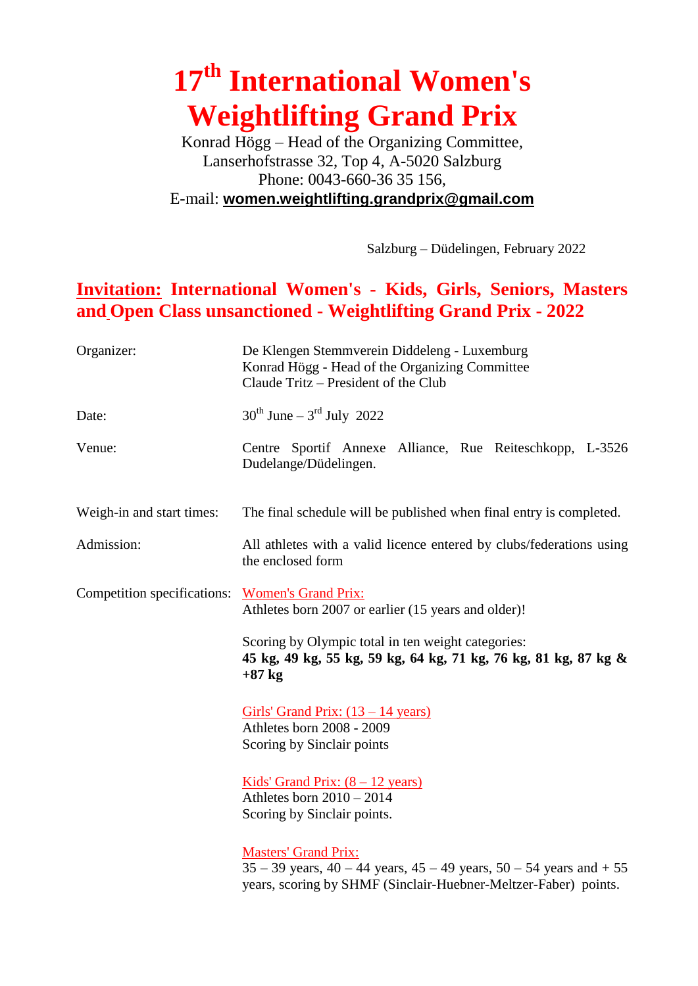# **17 th International Women's Weightlifting Grand Prix**

Konrad Högg – Head of the Organizing Committee, Lanserhofstrasse 32, Top 4, A-5020 Salzburg Phone: 0043-660-36 35 156, E-mail: **[women.weightlifting.grandprix@gmail.com](mailto:women.weightlifting.grandprix@gmail.com)**

Salzburg – Düdelingen, February 2022

### **Invitation: International Women's - Kids, Girls, Seniors, Masters and Open Class unsanctioned - Weightlifting Grand Prix - 2022**

| Organizer:                                      | De Klengen Stemmverein Diddeleng - Luxemburg<br>Konrad Högg - Head of the Organizing Committee<br>Claude Tritz – President of the Club                                          |
|-------------------------------------------------|---------------------------------------------------------------------------------------------------------------------------------------------------------------------------------|
| Date:                                           | $30^{th}$ June – 3 <sup>rd</sup> July 2022                                                                                                                                      |
| Venue:                                          | Centre Sportif Annexe Alliance, Rue Reiteschkopp, L-3526<br>Dudelange/Düdelingen.                                                                                               |
| Weigh-in and start times:                       | The final schedule will be published when final entry is completed.                                                                                                             |
| Admission:                                      | All athletes with a valid licence entered by clubs/federations using<br>the enclosed form                                                                                       |
| Competition specifications: Women's Grand Prix: | Athletes born 2007 or earlier (15 years and older)!                                                                                                                             |
|                                                 | Scoring by Olympic total in ten weight categories:<br>45 kg, 49 kg, 55 kg, 59 kg, 64 kg, 71 kg, 76 kg, 81 kg, 87 kg &<br>$+87$ kg                                               |
|                                                 | Girls' Grand Prix: $(13 – 14 \text{ years})$<br>Athletes born 2008 - 2009<br>Scoring by Sinclair points                                                                         |
|                                                 | <u>Kids' Grand Prix: <math>(8 - 12 \text{ years})</math></u><br>Athletes born $2010 - 2014$<br>Scoring by Sinclair points.                                                      |
|                                                 | <b>Masters' Grand Prix:</b><br>$35 - 39$ years, $40 - 44$ years, $45 - 49$ years, $50 - 54$ years and $+ 55$<br>years, scoring by SHMF (Sinclair-Huebner-Meltzer-Faber) points. |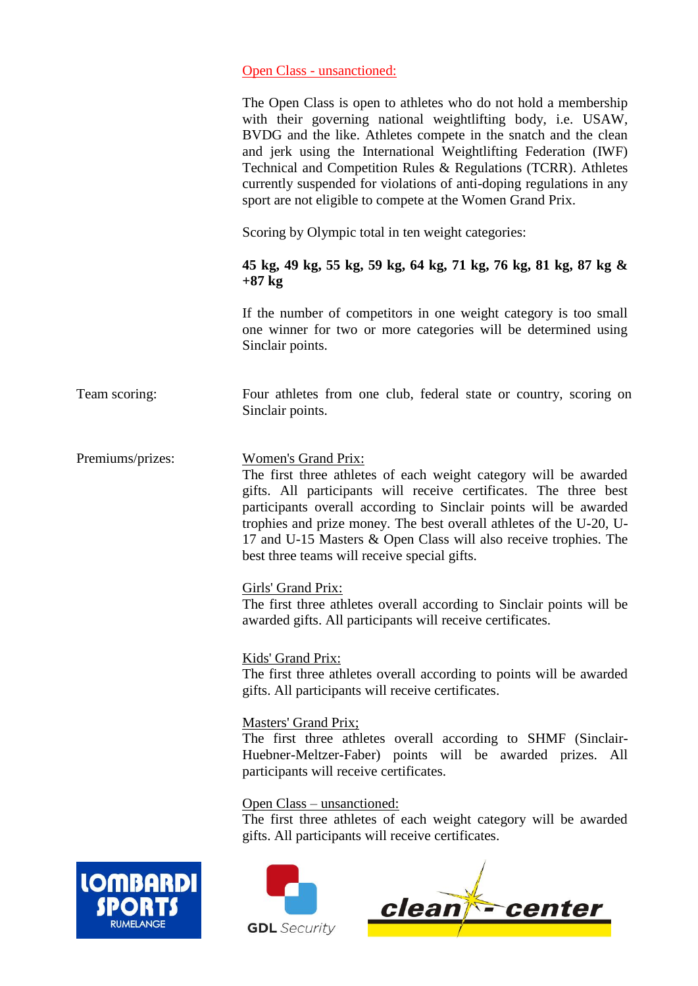#### Open Class - unsanctioned:

|                             | The Open Class is open to athletes who do not hold a membership<br>with their governing national weightlifting body, i.e. USAW,<br>BVDG and the like. Athletes compete in the snatch and the clean<br>and jerk using the International Weightlifting Federation (IWF)<br>Technical and Competition Rules & Regulations (TCRR). Athletes<br>currently suspended for violations of anti-doping regulations in any<br>sport are not eligible to compete at the Women Grand Prix. |
|-----------------------------|-------------------------------------------------------------------------------------------------------------------------------------------------------------------------------------------------------------------------------------------------------------------------------------------------------------------------------------------------------------------------------------------------------------------------------------------------------------------------------|
|                             | Scoring by Olympic total in ten weight categories:                                                                                                                                                                                                                                                                                                                                                                                                                            |
|                             | 45 kg, 49 kg, 55 kg, 59 kg, 64 kg, 71 kg, 76 kg, 81 kg, 87 kg &<br>$+87$ kg                                                                                                                                                                                                                                                                                                                                                                                                   |
|                             | If the number of competitors in one weight category is too small<br>one winner for two or more categories will be determined using<br>Sinclair points.                                                                                                                                                                                                                                                                                                                        |
| Team scoring:               | Four athletes from one club, federal state or country, scoring on<br>Sinclair points.                                                                                                                                                                                                                                                                                                                                                                                         |
| Premiums/prizes:            | <b>Women's Grand Prix:</b><br>The first three athletes of each weight category will be awarded<br>gifts. All participants will receive certificates. The three best<br>participants overall according to Sinclair points will be awarded<br>trophies and prize money. The best overall athletes of the U-20, U-<br>17 and U-15 Masters & Open Class will also receive trophies. The<br>best three teams will receive special gifts.                                           |
|                             | Girls' Grand Prix:<br>The first three athletes overall according to Sinclair points will be<br>awarded gifts. All participants will receive certificates.                                                                                                                                                                                                                                                                                                                     |
|                             | Kids' Grand Prix:<br>The first three athletes overall according to points will be awarded<br>gifts. All participants will receive certificates.                                                                                                                                                                                                                                                                                                                               |
|                             | <b>Masters' Grand Prix;</b><br>The first three athletes overall according to SHMF (Sinclair-<br>Huebner-Meltzer-Faber) points will be awarded prizes. All<br>participants will receive certificates.                                                                                                                                                                                                                                                                          |
|                             | <u> Open Class – unsanctioned:</u><br>The first three athletes of each weight category will be awarded<br>gifts. All participants will receive certificates.                                                                                                                                                                                                                                                                                                                  |
| <b>LOMBARD</b><br>RUMELANGE | clean <sup>*</sup> center<br><b>GDI</b> Security                                                                                                                                                                                                                                                                                                                                                                                                                              |



 $\overline{\phantom{a}}$ 

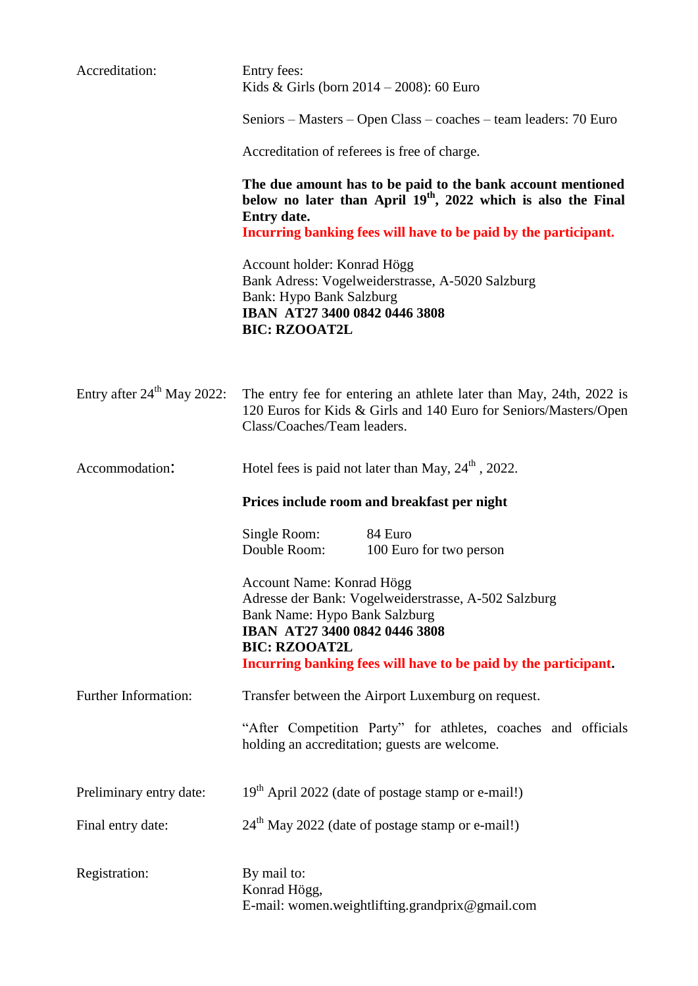| Accreditation:                         | Entry fees:<br>Kids & Girls (born $2014 - 2008$ ): 60 Euro                                                                                                                                                                        |
|----------------------------------------|-----------------------------------------------------------------------------------------------------------------------------------------------------------------------------------------------------------------------------------|
|                                        | Seniors – Masters – Open Class – coaches – team leaders: 70 Euro                                                                                                                                                                  |
|                                        | Accreditation of referees is free of charge.                                                                                                                                                                                      |
|                                        | The due amount has to be paid to the bank account mentioned<br>below no later than April 19 <sup>th</sup> , 2022 which is also the Final<br><b>Entry date.</b><br>Incurring banking fees will have to be paid by the participant. |
|                                        | Account holder: Konrad Högg<br>Bank Adress: Vogelweiderstrasse, A-5020 Salzburg<br><b>Bank: Hypo Bank Salzburg</b><br>IBAN AT27 3400 0842 0446 3808<br><b>BIC: RZOOAT2L</b>                                                       |
| Entry after 24 <sup>th</sup> May 2022: | The entry fee for entering an athlete later than May, 24th, 2022 is<br>120 Euros for Kids & Girls and 140 Euro for Seniors/Masters/Open<br>Class/Coaches/Team leaders.                                                            |
| Accommodation:                         | Hotel fees is paid not later than May, $24th$ , 2022.                                                                                                                                                                             |
|                                        |                                                                                                                                                                                                                                   |
|                                        | Prices include room and breakfast per night                                                                                                                                                                                       |
|                                        | Single Room:<br>84 Euro<br>Double Room:<br>100 Euro for two person                                                                                                                                                                |
|                                        | Account Name: Konrad Högg<br>Adresse der Bank: Vogelweiderstrasse, A-502 Salzburg<br><b>Bank Name: Hypo Bank Salzburg</b><br>IBAN AT27 3400 0842 0446 3808<br><b>BIC: RZOOAT2L</b>                                                |
|                                        | Incurring banking fees will have to be paid by the participant.                                                                                                                                                                   |
| Further Information:                   | Transfer between the Airport Luxemburg on request.<br>"After Competition Party" for athletes, coaches and officials<br>holding an accreditation; guests are welcome.                                                              |
| Preliminary entry date:                | 19 <sup>th</sup> April 2022 (date of postage stamp or e-mail!)                                                                                                                                                                    |
| Final entry date:                      | 24 <sup>th</sup> May 2022 (date of postage stamp or e-mail!)                                                                                                                                                                      |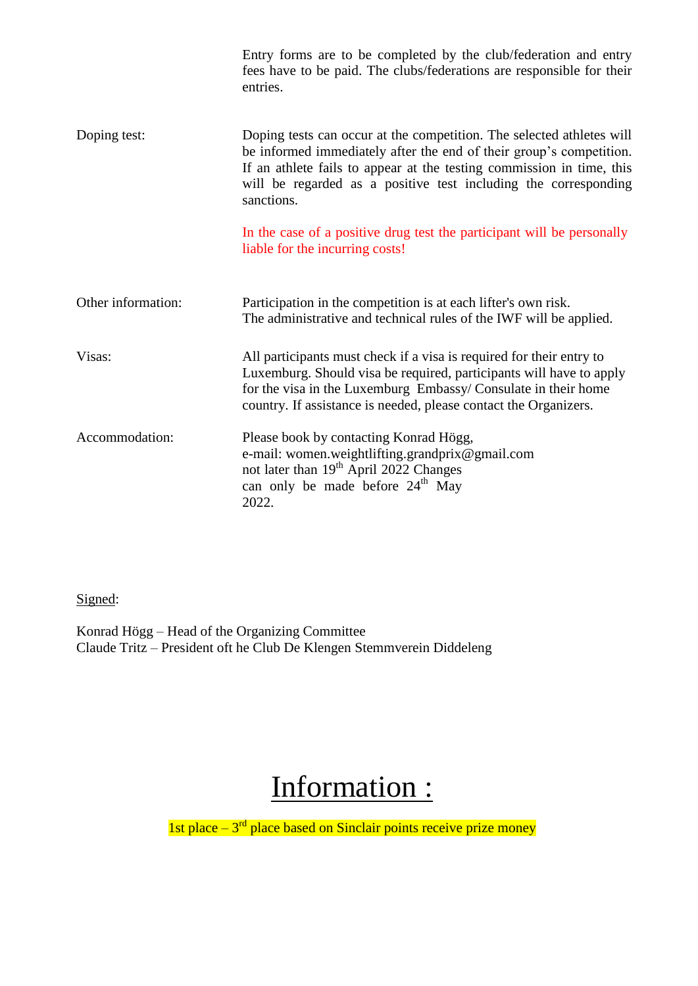|                    | Entry forms are to be completed by the club/federation and entry<br>fees have to be paid. The clubs/federations are responsible for their<br>entries.                                                                                                                                                  |
|--------------------|--------------------------------------------------------------------------------------------------------------------------------------------------------------------------------------------------------------------------------------------------------------------------------------------------------|
| Doping test:       | Doping tests can occur at the competition. The selected athletes will<br>be informed immediately after the end of their group's competition.<br>If an athlete fails to appear at the testing commission in time, this<br>will be regarded as a positive test including the corresponding<br>sanctions. |
|                    | In the case of a positive drug test the participant will be personally<br>liable for the incurring costs!                                                                                                                                                                                              |
| Other information: | Participation in the competition is at each lifter's own risk.<br>The administrative and technical rules of the IWF will be applied.                                                                                                                                                                   |
| Visas:             | All participants must check if a visa is required for their entry to<br>Luxemburg. Should visa be required, participants will have to apply<br>for the visa in the Luxemburg Embassy/Consulate in their home<br>country. If assistance is needed, please contact the Organizers.                       |
| Accommodation:     | Please book by contacting Konrad Högg,<br>e-mail: women.weightlifting.grandprix@gmail.com<br>not later than 19 <sup>th</sup> April 2022 Changes<br>can only be made before 24 <sup>th</sup> May<br>2022.                                                                                               |

### Signed:

Konrad Högg – Head of the Organizing Committee Claude Tritz – President oft he Club De Klengen Stemmverein Diddeleng

# Information :

1st place  $-3<sup>rd</sup>$  place based on Sinclair points receive prize money